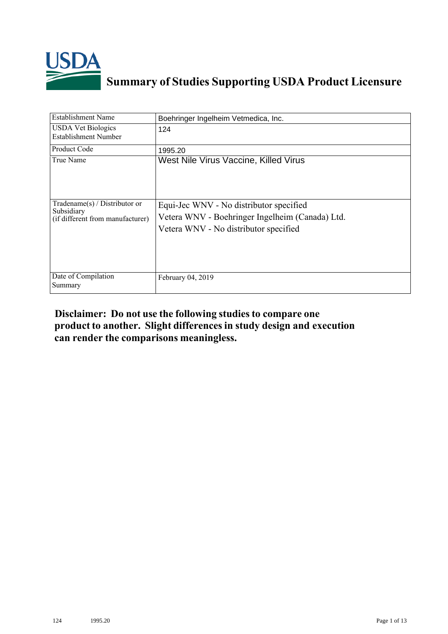

## **Summary of Studies Supporting USDA Product Licensure**

| <b>Establishment Name</b>                                                          | Boehringer Ingelheim Vetmedica, Inc.                                                                                                |
|------------------------------------------------------------------------------------|-------------------------------------------------------------------------------------------------------------------------------------|
| <b>USDA Vet Biologics</b><br>Establishment Number                                  | 124                                                                                                                                 |
| Product Code                                                                       | 1995.20                                                                                                                             |
| True Name                                                                          | West Nile Virus Vaccine, Killed Virus                                                                                               |
| Tradename $(s)$ / Distributor or<br>Subsidiary<br>(if different from manufacturer) | Equi-Jec WNV - No distributor specified<br>Vetera WNV - Boehringer Ingelheim (Canada) Ltd.<br>Vetera WNV - No distributor specified |
| Date of Compilation<br>Summary                                                     | February 04, 2019                                                                                                                   |

## **Disclaimer: Do not use the following studiesto compare one product to another. Slight differencesin study design and execution can render the comparisons meaningless.**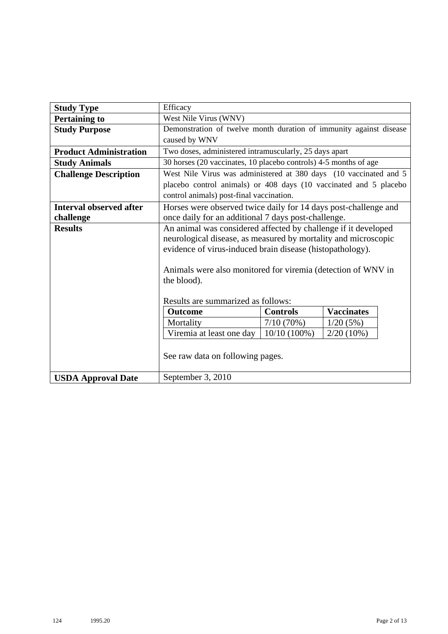| <b>Study Type</b>              | Efficacy                                                                            |                 |                   |  |  |  |  |  |  |  |  |
|--------------------------------|-------------------------------------------------------------------------------------|-----------------|-------------------|--|--|--|--|--|--|--|--|
| <b>Pertaining to</b>           | West Nile Virus (WNV)                                                               |                 |                   |  |  |  |  |  |  |  |  |
| <b>Study Purpose</b>           | Demonstration of twelve month duration of immunity against disease<br>caused by WNV |                 |                   |  |  |  |  |  |  |  |  |
| <b>Product Administration</b>  | Two doses, administered intramuscularly, 25 days apart                              |                 |                   |  |  |  |  |  |  |  |  |
| <b>Study Animals</b>           | 30 horses (20 vaccinates, 10 placebo controls) 4-5 months of age                    |                 |                   |  |  |  |  |  |  |  |  |
| <b>Challenge Description</b>   | West Nile Virus was administered at 380 days (10 vaccinated and 5                   |                 |                   |  |  |  |  |  |  |  |  |
|                                | placebo control animals) or 408 days (10 vaccinated and 5 placebo                   |                 |                   |  |  |  |  |  |  |  |  |
|                                | control animals) post-final vaccination.                                            |                 |                   |  |  |  |  |  |  |  |  |
| <b>Interval observed after</b> | Horses were observed twice daily for 14 days post-challenge and                     |                 |                   |  |  |  |  |  |  |  |  |
| challenge                      | once daily for an additional 7 days post-challenge.                                 |                 |                   |  |  |  |  |  |  |  |  |
| <b>Results</b>                 | An animal was considered affected by challenge if it developed                      |                 |                   |  |  |  |  |  |  |  |  |
|                                | neurological disease, as measured by mortality and microscopic                      |                 |                   |  |  |  |  |  |  |  |  |
|                                | evidence of virus-induced brain disease (histopathology).                           |                 |                   |  |  |  |  |  |  |  |  |
|                                |                                                                                     |                 |                   |  |  |  |  |  |  |  |  |
|                                | Animals were also monitored for viremia (detection of WNV in                        |                 |                   |  |  |  |  |  |  |  |  |
|                                | the blood).                                                                         |                 |                   |  |  |  |  |  |  |  |  |
|                                |                                                                                     |                 |                   |  |  |  |  |  |  |  |  |
|                                | Results are summarized as follows:                                                  |                 |                   |  |  |  |  |  |  |  |  |
|                                | <b>Outcome</b>                                                                      | <b>Controls</b> | <b>Vaccinates</b> |  |  |  |  |  |  |  |  |
|                                | Mortality                                                                           | 7/10(70%)       | 1/20(5%)          |  |  |  |  |  |  |  |  |
|                                | Viremia at least one day                                                            | $10/10(100\%)$  | $2/20(10\%)$      |  |  |  |  |  |  |  |  |
|                                |                                                                                     |                 |                   |  |  |  |  |  |  |  |  |
|                                | See raw data on following pages.                                                    |                 |                   |  |  |  |  |  |  |  |  |
|                                |                                                                                     |                 |                   |  |  |  |  |  |  |  |  |
| <b>USDA Approval Date</b>      | September 3, 2010                                                                   |                 |                   |  |  |  |  |  |  |  |  |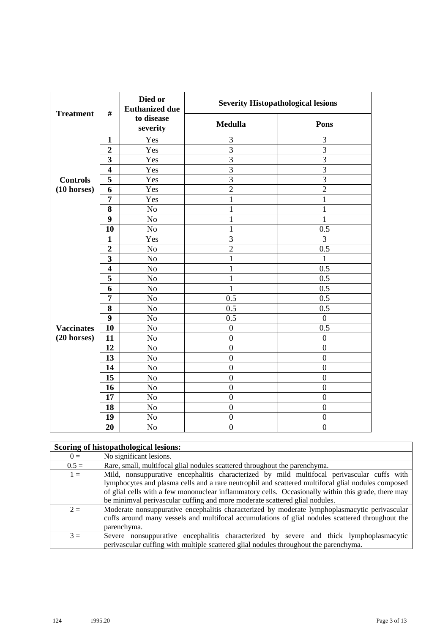| <b>Treatment</b>      | $\#$                    | Died or<br><b>Euthanized due</b> | <b>Severity Histopathological lesions</b> |                  |
|-----------------------|-------------------------|----------------------------------|-------------------------------------------|------------------|
|                       |                         | to disease<br>severity           | <b>Medulla</b>                            | Pons             |
|                       | $\mathbf{1}$            | Yes                              | 3                                         | 3                |
|                       | $\overline{2}$          | Yes                              | $\overline{3}$                            | $\overline{3}$   |
|                       | 3                       | Yes                              | 3                                         | $\mathfrak{Z}$   |
|                       | $\overline{\mathbf{4}}$ | Yes                              | $\overline{3}$                            | $\overline{3}$   |
| <b>Controls</b>       | $\overline{5}$          | Yes                              | $\overline{3}$                            | 3                |
| $(10 \text{ horses})$ | 6                       | Yes                              | $\overline{2}$                            | $\overline{2}$   |
|                       | $\overline{7}$          | Yes                              | $\mathbf{1}$                              | $\mathbf{1}$     |
|                       | 8                       | N <sub>o</sub>                   | $\mathbf{1}$                              | $\mathbf{1}$     |
|                       | $\boldsymbol{9}$        | No                               | $\mathbf{1}$                              | $\mathbf{1}$     |
|                       | 10                      | No                               | $\mathbf 1$                               | 0.5              |
|                       | $\mathbf{1}$            | Yes                              | $\overline{3}$                            | $\overline{3}$   |
|                       | $\boldsymbol{2}$        | N <sub>o</sub>                   | $\overline{2}$                            | 0.5              |
|                       | $\overline{\mathbf{3}}$ | No                               | $\mathbf{1}$                              | 1                |
|                       | $\overline{\mathbf{4}}$ | N <sub>o</sub>                   | 1                                         | 0.5              |
|                       | $\overline{\mathbf{5}}$ | N <sub>o</sub>                   | $\mathbf{1}$                              | 0.5              |
|                       | 6                       | N <sub>0</sub>                   | $\mathbf{1}$                              | 0.5              |
|                       | 7                       | No                               | 0.5                                       | 0.5              |
|                       | 8                       | No                               | 0.5                                       | 0.5              |
|                       | $\boldsymbol{9}$        | No                               | 0.5                                       | $\overline{0}$   |
| <b>Vaccinates</b>     | $\overline{10}$         | No                               | $\boldsymbol{0}$                          | $\overline{0.5}$ |
| $(20$ horses)         | 11                      | No                               | $\boldsymbol{0}$                          | $\boldsymbol{0}$ |
|                       | 12                      | N <sub>o</sub>                   | $\boldsymbol{0}$                          | $\boldsymbol{0}$ |
|                       | 13                      | $\rm No$                         | $\boldsymbol{0}$                          | $\boldsymbol{0}$ |
|                       | 14                      | No                               | $\overline{0}$                            | $\overline{0}$   |
|                       | 15                      | N <sub>o</sub>                   | $\overline{0}$                            | $\overline{0}$   |
|                       | 16                      | No                               | $\boldsymbol{0}$                          | $\boldsymbol{0}$ |
|                       | 17                      | No                               | $\boldsymbol{0}$                          | $\boldsymbol{0}$ |
|                       | 18                      | N <sub>o</sub>                   | $\overline{0}$                            | $\boldsymbol{0}$ |
|                       | 19                      | No                               | $\boldsymbol{0}$                          | $\boldsymbol{0}$ |
|                       | 20                      | N <sub>o</sub>                   | $\overline{0}$                            | $\overline{0}$   |

|         | Scoring of histopathological lesions:                                                                                                                                                                                                                                                                                                                                                  |
|---------|----------------------------------------------------------------------------------------------------------------------------------------------------------------------------------------------------------------------------------------------------------------------------------------------------------------------------------------------------------------------------------------|
| $0 =$   | No significant lesions.                                                                                                                                                                                                                                                                                                                                                                |
| $0.5 =$ | Rare, small, multifocal glial nodules scattered throughout the parenchyma.                                                                                                                                                                                                                                                                                                             |
| $1 =$   | Mild, nonsuppurative encephalitis characterized by mild multifocal perivascular cuffs with<br>lymphocytes and plasma cells and a rare neutrophil and scattered multifocal glial nodules composed<br>of glial cells with a few mononuclear inflammatory cells. Occasionally within this grade, there may<br>be minimval perivascular cuffing and more moderate scattered glial nodules. |
| $2 =$   | Moderate nonsuppurative encephalitis characterized by moderate lymphoplasmacytic perivascular<br>cuffs around many vessels and multifocal accumulations of glial nodules scattered throughout the<br>parenchyma.                                                                                                                                                                       |
| $3 =$   | Severe nonsuppurative encephalitis characterized by severe and thick lymphoplasmacytic<br>perivalent parameters with multiple scattered glial nodules throughout the parenchyma.                                                                                                                                                                                                       |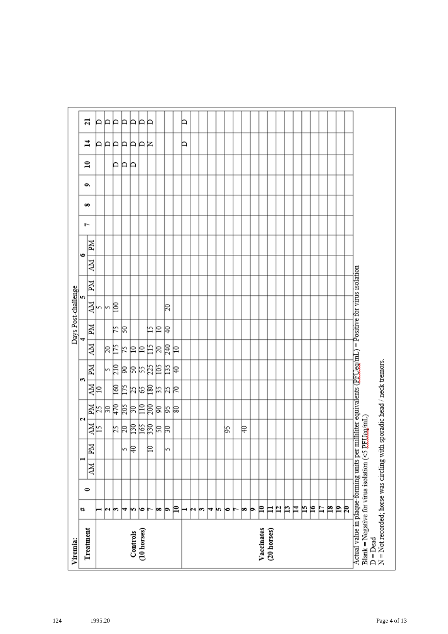| Viremia:                                                                                                                                                                           |    |           |    |    |         |            |      |       |    |    | Days Post-challenge |    |    |           |   |   |   |              |         |    |
|------------------------------------------------------------------------------------------------------------------------------------------------------------------------------------|----|-----------|----|----|---------|------------|------|-------|----|----|---------------------|----|----|-----------|---|---|---|--------------|---------|----|
| Treatment                                                                                                                                                                          | ₩  | $\bullet$ |    |    |         | N          |      | S     |    |    | m                   |    |    | $\bullet$ | ŀ | ő | é | $\mathbf{r}$ | 4       | ដ  |
|                                                                                                                                                                                    |    |           | NИ | Md | 하       |            | 화    | Md    | ÄМ | MI | 하                   | ZМ | NИ | Иď        |   |   |   |              |         |    |
|                                                                                                                                                                                    | ⊣  |           |    |    |         |            |      |       |    |    |                     |    |    |           |   |   |   |              |         | A  |
|                                                                                                                                                                                    | юı |           |    |    |         |            |      |       | βĘ |    | kβ                  |    |    |           |   |   |   |              |         | ÞÞ |
|                                                                                                                                                                                    | m  |           |    |    |         |            |      |       |    | k  |                     |    |    |           |   |   |   | ÞР           |         |    |
|                                                                                                                                                                                    | ₩  |           |    | m  |         |            |      |       | K  | R  |                     |    |    |           |   |   |   |              |         | Þ  |
| Controls                                                                                                                                                                           | m  |           |    | β  | 부치려의덕려석 | 11 리치영국체여동 | 회의검질 | 여여처처터 | 의의 |    |                     |    |    |           |   |   |   | Þ            | AAAAAAR | Þ  |
| (10 horses)                                                                                                                                                                        | ∣७ |           |    |    |         |            |      |       |    |    |                     |    |    |           |   |   |   |              |         | P  |
|                                                                                                                                                                                    |    |           |    | ₽  |         |            |      |       | 旨  | 匕  |                     |    |    |           |   |   |   |              |         | P  |
|                                                                                                                                                                                    | œ  |           |    |    |         |            |      |       | R  | ₽  |                     |    |    |           |   |   |   |              |         |    |
|                                                                                                                                                                                    | þ. |           |    | m  |         | 의직의        | おおは  | 의역력   | 尾  | ₽  | 20                  |    |    |           |   |   |   |              |         |    |
|                                                                                                                                                                                    | P  |           |    |    |         |            |      |       | ₽  |    |                     |    |    |           |   |   |   |              |         |    |
|                                                                                                                                                                                    | ⊢  |           |    |    |         |            |      |       |    |    |                     |    |    |           |   |   |   |              | Þ       | Þ  |
|                                                                                                                                                                                    | N  |           |    |    |         |            |      |       |    |    |                     |    |    |           |   |   |   |              |         |    |
|                                                                                                                                                                                    | r  |           |    |    |         |            |      |       |    |    |                     |    |    |           |   |   |   |              |         |    |
|                                                                                                                                                                                    | ↣  |           |    |    |         |            |      |       |    |    |                     |    |    |           |   |   |   |              |         |    |
|                                                                                                                                                                                    | m  |           |    |    |         |            |      |       |    |    |                     |    |    |           |   |   |   |              |         |    |
|                                                                                                                                                                                    | ю  |           |    |    | βŚ,     |            |      |       |    |    |                     |    |    |           |   |   |   |              |         |    |
|                                                                                                                                                                                    | ►  |           |    |    |         |            |      |       |    |    |                     |    |    |           |   |   |   |              |         |    |
|                                                                                                                                                                                    | þo |           |    |    | ₽       |            |      |       |    |    |                     |    |    |           |   |   |   |              |         |    |
|                                                                                                                                                                                    | Þ  |           |    |    |         |            |      |       |    |    |                     |    |    |           |   |   |   |              |         |    |
| Vaccinates                                                                                                                                                                         | ₽  |           |    |    |         |            |      |       |    |    |                     |    |    |           |   |   |   |              |         |    |
| (20 horses)                                                                                                                                                                        | Ħ  |           |    |    |         |            |      |       |    |    |                     |    |    |           |   |   |   |              |         |    |
|                                                                                                                                                                                    | P  |           |    |    |         |            |      |       |    |    |                     |    |    |           |   |   |   |              |         |    |
|                                                                                                                                                                                    | n  |           |    |    |         |            |      |       |    |    |                     |    |    |           |   |   |   |              |         |    |
|                                                                                                                                                                                    | Ħ  |           |    |    |         |            |      |       |    |    |                     |    |    |           |   |   |   |              |         |    |
|                                                                                                                                                                                    | N  |           |    |    |         |            |      |       |    |    |                     |    |    |           |   |   |   |              |         |    |
|                                                                                                                                                                                    | ρ  |           |    |    |         |            |      |       |    |    |                     |    |    |           |   |   |   |              |         |    |
|                                                                                                                                                                                    | Ħ  |           |    |    |         |            |      |       |    |    |                     |    |    |           |   |   |   |              |         |    |
|                                                                                                                                                                                    | p  |           |    |    |         |            |      |       |    |    |                     |    |    |           |   |   |   |              |         |    |
|                                                                                                                                                                                    | Þ  |           |    |    |         |            |      |       |    |    |                     |    |    |           |   |   |   |              |         |    |
|                                                                                                                                                                                    | R  |           |    |    |         |            |      |       |    |    |                     |    |    |           |   |   |   |              |         |    |
| Actual value in plaque-forming units per milliliter equivalents (PFUeg/mL) = Positive for virus isolation<br>Blank = Negative for virus isolation ( $\leq$ PEUeg/mL)<br>$D = Dead$ |    |           |    |    |         |            |      |       |    |    |                     |    |    |           |   |   |   |              |         |    |
| N = Not recorded; horse was circling with sporadic head / neck tremors.                                                                                                            |    |           |    |    |         |            |      |       |    |    |                     |    |    |           |   |   |   |              |         |    |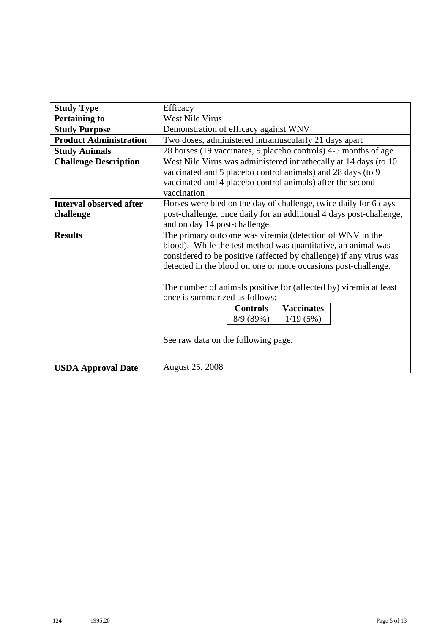| <b>Study Type</b>              | Efficacy                                                            |  |  |  |  |  |  |  |  |  |
|--------------------------------|---------------------------------------------------------------------|--|--|--|--|--|--|--|--|--|
| <b>Pertaining to</b>           | <b>West Nile Virus</b>                                              |  |  |  |  |  |  |  |  |  |
| <b>Study Purpose</b>           | Demonstration of efficacy against WNV                               |  |  |  |  |  |  |  |  |  |
| <b>Product Administration</b>  | Two doses, administered intramuscularly 21 days apart               |  |  |  |  |  |  |  |  |  |
| <b>Study Animals</b>           | 28 horses (19 vaccinates, 9 placebo controls) 4-5 months of age     |  |  |  |  |  |  |  |  |  |
| <b>Challenge Description</b>   | West Nile Virus was administered intrathecally at 14 days (to 10    |  |  |  |  |  |  |  |  |  |
|                                | vaccinated and 5 placebo control animals) and 28 days (to 9         |  |  |  |  |  |  |  |  |  |
|                                | vaccinated and 4 placebo control animals) after the second          |  |  |  |  |  |  |  |  |  |
|                                | vaccination                                                         |  |  |  |  |  |  |  |  |  |
| <b>Interval observed after</b> | Horses were bled on the day of challenge, twice daily for 6 days    |  |  |  |  |  |  |  |  |  |
| challenge                      | post-challenge, once daily for an additional 4 days post-challenge, |  |  |  |  |  |  |  |  |  |
|                                | and on day 14 post-challenge                                        |  |  |  |  |  |  |  |  |  |
| <b>Results</b>                 | The primary outcome was viremia (detection of WNV in the            |  |  |  |  |  |  |  |  |  |
|                                | blood). While the test method was quantitative, an animal was       |  |  |  |  |  |  |  |  |  |
|                                | considered to be positive (affected by challenge) if any virus was  |  |  |  |  |  |  |  |  |  |
|                                | detected in the blood on one or more occasions post-challenge.      |  |  |  |  |  |  |  |  |  |
|                                | The number of animals positive for (affected by) viremia at least   |  |  |  |  |  |  |  |  |  |
|                                | once is summarized as follows:                                      |  |  |  |  |  |  |  |  |  |
|                                | <b>Vaccinates</b><br><b>Controls</b>                                |  |  |  |  |  |  |  |  |  |
|                                | 8/9(89%)<br>1/19(5%)                                                |  |  |  |  |  |  |  |  |  |
|                                |                                                                     |  |  |  |  |  |  |  |  |  |
|                                | See raw data on the following page.                                 |  |  |  |  |  |  |  |  |  |
|                                |                                                                     |  |  |  |  |  |  |  |  |  |
|                                |                                                                     |  |  |  |  |  |  |  |  |  |
| <b>USDA Approval Date</b>      | <b>August 25, 2008</b>                                              |  |  |  |  |  |  |  |  |  |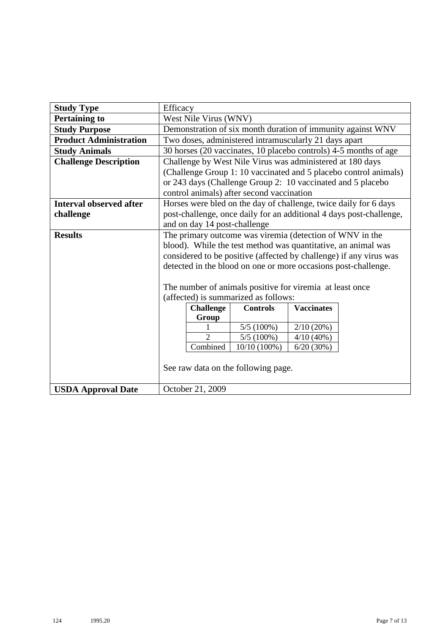| <b>Study Type</b>              | Efficacy |                              |                                                                |                   |                                                                     |  |  |  |  |  |  |  |
|--------------------------------|----------|------------------------------|----------------------------------------------------------------|-------------------|---------------------------------------------------------------------|--|--|--|--|--|--|--|
| <b>Pertaining to</b>           |          | West Nile Virus (WNV)        |                                                                |                   |                                                                     |  |  |  |  |  |  |  |
| <b>Study Purpose</b>           |          |                              |                                                                |                   | Demonstration of six month duration of immunity against WNV         |  |  |  |  |  |  |  |
| <b>Product Administration</b>  |          |                              | Two doses, administered intramuscularly 21 days apart          |                   |                                                                     |  |  |  |  |  |  |  |
| <b>Study Animals</b>           |          |                              |                                                                |                   | 30 horses (20 vaccinates, 10 placebo controls) 4-5 months of age    |  |  |  |  |  |  |  |
| <b>Challenge Description</b>   |          |                              | Challenge by West Nile Virus was administered at 180 days      |                   |                                                                     |  |  |  |  |  |  |  |
|                                |          |                              |                                                                |                   | (Challenge Group 1: 10 vaccinated and 5 placebo control animals)    |  |  |  |  |  |  |  |
|                                |          |                              | or 243 days (Challenge Group 2: 10 vaccinated and 5 placebo    |                   |                                                                     |  |  |  |  |  |  |  |
|                                |          |                              | control animals) after second vaccination                      |                   |                                                                     |  |  |  |  |  |  |  |
| <b>Interval observed after</b> |          |                              |                                                                |                   | Horses were bled on the day of challenge, twice daily for 6 days    |  |  |  |  |  |  |  |
| challenge                      |          |                              |                                                                |                   | post-challenge, once daily for an additional 4 days post-challenge, |  |  |  |  |  |  |  |
|                                |          | and on day 14 post-challenge |                                                                |                   |                                                                     |  |  |  |  |  |  |  |
| <b>Results</b>                 |          |                              | The primary outcome was viremia (detection of $WNV$ in the     |                   |                                                                     |  |  |  |  |  |  |  |
|                                |          |                              | blood). While the test method was quantitative, an animal was  |                   |                                                                     |  |  |  |  |  |  |  |
|                                |          |                              |                                                                |                   | considered to be positive (affected by challenge) if any virus was  |  |  |  |  |  |  |  |
|                                |          |                              | detected in the blood on one or more occasions post-challenge. |                   |                                                                     |  |  |  |  |  |  |  |
|                                |          |                              |                                                                |                   |                                                                     |  |  |  |  |  |  |  |
|                                |          |                              | The number of animals positive for viremia at least once       |                   |                                                                     |  |  |  |  |  |  |  |
|                                |          |                              | (affected) is summarized as follows:                           |                   |                                                                     |  |  |  |  |  |  |  |
|                                |          | <b>Challenge</b>             | <b>Controls</b>                                                | <b>Vaccinates</b> |                                                                     |  |  |  |  |  |  |  |
|                                |          | Group                        |                                                                |                   |                                                                     |  |  |  |  |  |  |  |
|                                |          | $\overline{2}$               | 5/5(100%)                                                      | 2/10(20%)         |                                                                     |  |  |  |  |  |  |  |
|                                |          | Combined                     | $5/5(100\%)$                                                   | 4/10(40%)         |                                                                     |  |  |  |  |  |  |  |
|                                |          |                              | $10/10(100\%)$                                                 | 6/20(30%)         |                                                                     |  |  |  |  |  |  |  |
|                                |          |                              | See raw data on the following page.                            |                   |                                                                     |  |  |  |  |  |  |  |
|                                |          |                              |                                                                |                   |                                                                     |  |  |  |  |  |  |  |
| <b>USDA Approval Date</b>      |          | October 21, 2009             |                                                                |                   |                                                                     |  |  |  |  |  |  |  |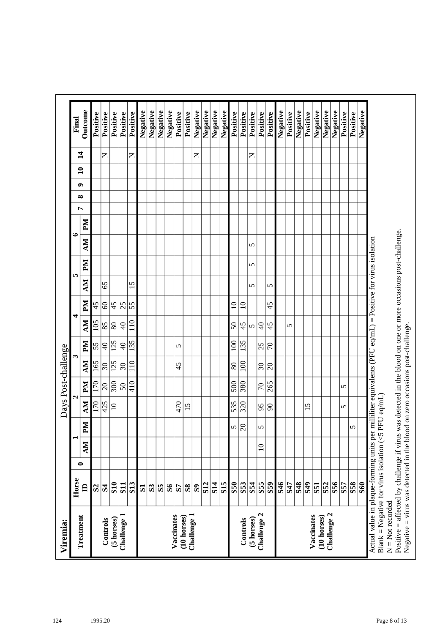|                     | Final | Outcome        | Positive     | Positive            | Positive         | Positive                 | Positive        | Negative     | Negative       | Negative     | Negative     | Positive                  | Positive     | Negative     | Negative   | Negative   | Negative        | Positive   | Positive         | Positive   | Positive                 | Positive              | Negative | Positive | Negative   | Positive        | Negative                | Negative                   | Negative | Positive | Positive   | Negative   |
|---------------------|-------|----------------|--------------|---------------------|------------------|--------------------------|-----------------|--------------|----------------|--------------|--------------|---------------------------|--------------|--------------|------------|------------|-----------------|------------|------------------|------------|--------------------------|-----------------------|----------|----------|------------|-----------------|-------------------------|----------------------------|----------|----------|------------|------------|
|                     |       | $\sharp$       |              | z                   |                  |                          | $\mathsf{z}$    |              |                |              |              |                           |              | Z            |            |            |                 |            |                  | z          |                          |                       |          |          |            |                 |                         |                            |          |          |            |            |
|                     |       | $\mathbf{a}$   |              |                     |                  |                          |                 |              |                |              |              |                           |              |              |            |            |                 |            |                  |            |                          |                       |          |          |            |                 |                         |                            |          |          |            |            |
|                     |       | ๑              |              |                     |                  |                          |                 |              |                |              |              |                           |              |              |            |            |                 |            |                  |            |                          |                       |          |          |            |                 |                         |                            |          |          |            |            |
|                     |       | ∞              |              |                     |                  |                          |                 |              |                |              |              |                           |              |              |            |            |                 |            |                  |            |                          |                       |          |          |            |                 |                         |                            |          |          |            |            |
|                     |       | Ļ              |              |                     |                  |                          |                 |              |                |              |              |                           |              |              |            |            |                 |            |                  |            |                          |                       |          |          |            |                 |                         |                            |          |          |            |            |
|                     | ७     | $\mathbb{N}$   |              |                     |                  |                          |                 |              |                |              |              |                           |              |              |            |            |                 |            |                  |            |                          |                       |          |          |            |                 |                         |                            |          |          |            |            |
|                     |       | NИ             |              |                     |                  |                          |                 |              |                |              |              |                           |              |              |            |            |                 |            |                  | 5          |                          |                       |          |          |            |                 |                         |                            |          |          |            |            |
|                     |       | PМ             |              |                     |                  |                          |                 |              |                |              |              |                           |              |              |            |            |                 |            |                  | 5          |                          |                       |          |          |            |                 |                         |                            |          |          |            |            |
|                     | In.   | MУ             |              | 65                  |                  |                          | 15              |              |                |              |              |                           |              |              |            |            |                 |            |                  | 5          |                          | 5                     |          |          |            |                 |                         |                            |          |          |            |            |
|                     |       | Md             | 45           | $\pmb{\mathcal{S}}$ | 45               | 25                       | $\overline{55}$ |              |                |              |              |                           |              |              |            |            |                 | $\Xi$      | $\overline{10}$  |            |                          | 45                    |          |          |            |                 |                         |                            |          |          |            |            |
|                     | 4     | NИ             | 105          | 85                  | $\overline{80}$  | $\Theta$                 | 110             |              |                |              |              |                           |              |              |            |            |                 | $50\,$     | 45               | ທ∣         | ੩                        | 45                    |          | 5        |            |                 |                         |                            |          |          |            |            |
|                     |       |                | 55           | $\overline{4}$      | $\overline{125}$ | $\Theta$                 | 135             |              |                |              |              | 5                         |              |              |            |            |                 | 100        | 135              |            | 25                       | $ \varepsilon$        |          |          |            |                 |                         |                            |          |          |            |            |
| Days Post-challenge | S     | Md             |              |                     |                  |                          |                 |              |                |              |              |                           |              |              |            |            |                 |            |                  |            |                          |                       |          |          |            |                 |                         |                            |          |          |            |            |
|                     |       | NИ             | 165          | 30                  | 125              | $\overline{\mathcal{E}}$ | 110             |              |                |              |              | 45                        |              |              |            |            |                 | 80         | 100              |            | $\overline{\mathcal{E}}$ | $ \mathcal{S} $       |          |          |            |                 |                         |                            |          |          |            |            |
|                     | 4     | Md             | 170          | $\overline{c}$      | 300              | $50\,$                   | 410             |              |                |              |              |                           |              |              |            |            |                 | 500        | 380              |            | $\overline{70}$          | 265                   |          |          |            |                 |                         |                            |          | 5        |            |            |
|                     |       | MУ             | 170          | 425                 | $\overline{10}$  |                          |                 |              |                |              |              | 470                       | 15           |              |            |            |                 | 535        | $\overline{320}$ |            | 95                       | $ \mathcal{S} $       |          |          |            | 15              |                         |                            |          | 5        |            |            |
|                     |       | NЧ             |              |                     |                  |                          |                 |              |                |              |              |                           |              |              |            |            |                 | 5          | $ \mathcal{S} $  |            | 5                        |                       |          |          |            |                 |                         |                            |          |          | 5          |            |
|                     |       | MV             |              |                     |                  |                          |                 |              |                |              |              |                           |              |              |            |            |                 |            |                  |            | $\supseteq$              |                       |          |          |            |                 |                         |                            |          |          |            |            |
|                     |       | 0              |              |                     |                  |                          |                 |              |                |              |              |                           |              |              |            |            |                 |            |                  |            |                          |                       |          |          |            |                 |                         |                            |          |          |            |            |
|                     | Horse | $\blacksquare$ | $\mathbf{S}$ | $\mathbf{R}$        | S <sub>10</sub>  | <b>S11</b>               | <b>S13</b>      | $\mathbf{S}$ | S <sub>3</sub> | $\mathbf{S}$ | $\mathbf{S}$ | 57                        | $\mathbf{S}$ | $\mathbf{S}$ | <b>S12</b> | <b>S14</b> | S <sub>15</sub> | <b>S50</b> | S53              | S54        | S <sub>55</sub>          | $\overline{\text{S}}$ | 846      | S47      | <b>S48</b> | S <sub>49</sub> | $\overline{\textbf{S}}$ | <b>S52</b>                 | S56      | S57      | <b>S58</b> | <b>S60</b> |
| Viremia:            |       | Treatment      |              | Controls            | (5 horses)       | Challenge 1              |                 |              |                |              |              | Vaccinates<br>(10 horses) |              | Challenge 1  |            |            |                 |            | Controls         | (5 horses) | Challenge 2              |                       |          |          |            |                 | Vaccinates              | Challenge 2<br>(10 horses) |          |          |            |            |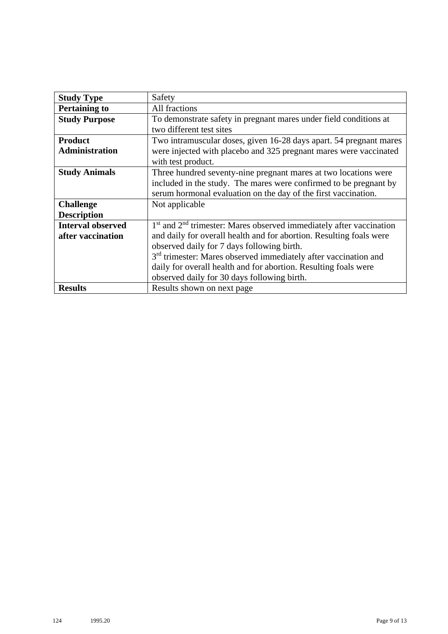| <b>Study Type</b>        | Safety                                                                      |
|--------------------------|-----------------------------------------------------------------------------|
| <b>Pertaining to</b>     | All fractions                                                               |
| <b>Study Purpose</b>     | To demonstrate safety in pregnant mares under field conditions at           |
|                          | two different test sites                                                    |
| <b>Product</b>           | Two intramuscular doses, given 16-28 days apart. 54 pregnant mares          |
| <b>Administration</b>    | were injected with placebo and 325 pregnant mares were vaccinated           |
|                          | with test product.                                                          |
| <b>Study Animals</b>     | Three hundred seventy-nine pregnant mares at two locations were             |
|                          | included in the study. The mares were confirmed to be pregnant by           |
|                          | serum hormonal evaluation on the day of the first vaccination.              |
| <b>Challenge</b>         | Not applicable                                                              |
| <b>Description</b>       |                                                                             |
| <b>Interval observed</b> | $1st$ and $2nd$ trimester: Mares observed immediately after vaccination     |
| after vaccination        | and daily for overall health and for abortion. Resulting foals were         |
|                          | observed daily for 7 days following birth.                                  |
|                          | 3 <sup>rd</sup> trimester: Mares observed immediately after vaccination and |
|                          | daily for overall health and for abortion. Resulting foals were             |
|                          | observed daily for 30 days following birth.                                 |
| <b>Results</b>           | Results shown on next page                                                  |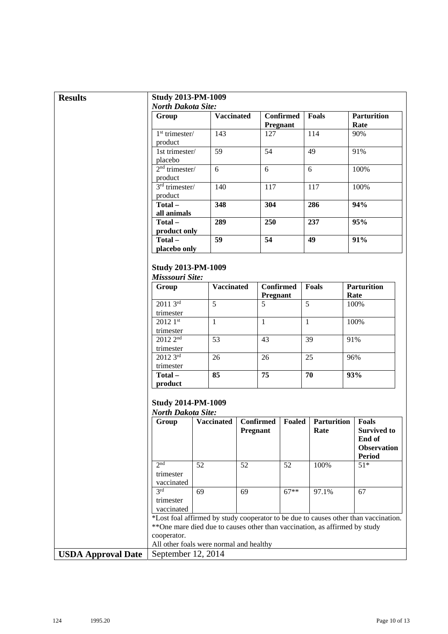| <b>Results</b>            | <b>Study 2013-PM-1009</b>                              |                                                                             |          |                              |                              |                            |                                                                                     |
|---------------------------|--------------------------------------------------------|-----------------------------------------------------------------------------|----------|------------------------------|------------------------------|----------------------------|-------------------------------------------------------------------------------------|
|                           | <b>North Dakota Site:</b>                              |                                                                             |          |                              |                              |                            |                                                                                     |
|                           | Group                                                  | <b>Vaccinated</b>                                                           |          |                              | <b>Confirmed</b><br>Pregnant | Foals                      | <b>Parturition</b><br>Rate                                                          |
|                           | $1st$ trimester/<br>product                            | 143                                                                         |          | 127                          |                              | 114                        | 90%                                                                                 |
|                           | 1st trimester/<br>placebo                              | 59                                                                          |          | 54                           |                              | 49                         | 91%                                                                                 |
|                           | $2nd$ trimester/<br>product                            | 6                                                                           |          | 6                            |                              | 6                          | 100%                                                                                |
|                           | $3rd$ trimester/<br>product                            | 140                                                                         |          | 117                          |                              | 117                        | 100%                                                                                |
|                           | Total-<br>all animals                                  | 348                                                                         |          | 304                          |                              | 286                        | 94%                                                                                 |
|                           | Total-                                                 | 289                                                                         |          | 250                          |                              | 237                        | 95%                                                                                 |
|                           | product only<br>Total-                                 | 59                                                                          |          | 54                           |                              | 49                         | 91%                                                                                 |
|                           | placebo only                                           |                                                                             |          |                              |                              |                            |                                                                                     |
|                           | <b>Study 2013-PM-1009</b><br>Misssouri Site:           |                                                                             |          |                              |                              |                            |                                                                                     |
|                           | Group                                                  | <b>Vaccinated</b>                                                           |          | <b>Confirmed</b><br>Pregnant |                              | <b>Foals</b>               | <b>Parturition</b><br>Rate                                                          |
|                           | $20113^{rd}$<br>trimester                              | 5                                                                           |          | 5                            |                              | 5                          | 100%                                                                                |
|                           | $20121$ st<br>trimester                                | $\mathbf{1}$                                                                |          | $\mathbf{1}$                 |                              | $\mathbf{1}$               | 100%                                                                                |
|                           | 2012 2 <sup>nd</sup><br>trimester                      | $\overline{53}$                                                             |          | 43                           |                              | 39                         | 91%                                                                                 |
|                           | 2012 3rd                                               | 26                                                                          |          | 26                           |                              | 25                         | 96%                                                                                 |
|                           | trimester<br>Total-<br>product                         | 85                                                                          |          | 75                           |                              | 70                         | 93%                                                                                 |
|                           | <b>Study 2014-PM-1009</b><br><b>North Dakota Site:</b> |                                                                             |          |                              |                              |                            |                                                                                     |
|                           | Group                                                  | <b>Vaccinated</b>                                                           | Pregnant | <b>Confirmed</b>             | Foaled                       | <b>Parturition</b><br>Rate | <b>Foals</b><br><b>Survived to</b><br>End of<br><b>Observation</b><br><b>Period</b> |
|                           | 2 <sub>nd</sub><br>trimester                           | 52                                                                          | 52       |                              | 52                           | 100%                       | $51*$                                                                               |
|                           | vaccinated<br>3rd<br>trimester<br>vaccinated           | 69                                                                          | 69       |                              | $67**$                       | 97.1%                      | 67                                                                                  |
|                           | cooperator.                                            | ** One mare died due to causes other than vaccination, as affirmed by study |          |                              |                              |                            | *Lost foal affirmed by study cooperator to be due to causes other than vaccination. |
|                           |                                                        | All other foals were normal and healthy                                     |          |                              |                              |                            |                                                                                     |
| <b>USDA Approval Date</b> | September 12, 2014                                     |                                                                             |          |                              |                              |                            |                                                                                     |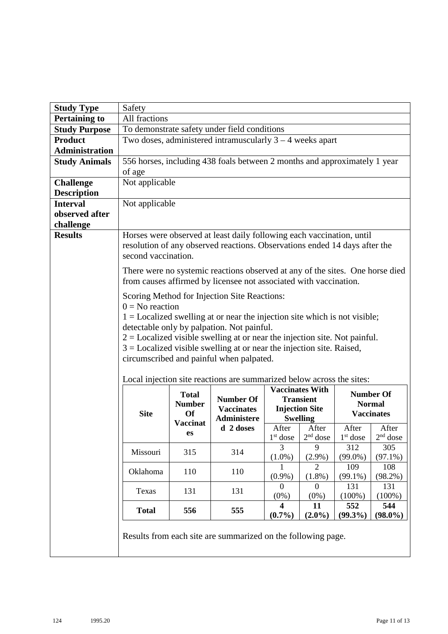| <b>Study Type</b>     | Safety              |                                                               |                                                                                                                                                                                                                                                                                                                                                                                   |                                      |                                                                                        |                   |                                                        |
|-----------------------|---------------------|---------------------------------------------------------------|-----------------------------------------------------------------------------------------------------------------------------------------------------------------------------------------------------------------------------------------------------------------------------------------------------------------------------------------------------------------------------------|--------------------------------------|----------------------------------------------------------------------------------------|-------------------|--------------------------------------------------------|
| <b>Pertaining to</b>  | All fractions       |                                                               |                                                                                                                                                                                                                                                                                                                                                                                   |                                      |                                                                                        |                   |                                                        |
| <b>Study Purpose</b>  |                     |                                                               | To demonstrate safety under field conditions                                                                                                                                                                                                                                                                                                                                      |                                      |                                                                                        |                   |                                                        |
| <b>Product</b>        |                     |                                                               | Two doses, administered intramuscularly $3 - 4$ weeks apart                                                                                                                                                                                                                                                                                                                       |                                      |                                                                                        |                   |                                                        |
| <b>Administration</b> |                     |                                                               |                                                                                                                                                                                                                                                                                                                                                                                   |                                      |                                                                                        |                   |                                                        |
| <b>Study Animals</b>  |                     |                                                               | 556 horses, including 438 foals between 2 months and approximately 1 year                                                                                                                                                                                                                                                                                                         |                                      |                                                                                        |                   |                                                        |
|                       | of age              |                                                               |                                                                                                                                                                                                                                                                                                                                                                                   |                                      |                                                                                        |                   |                                                        |
| <b>Challenge</b>      | Not applicable      |                                                               |                                                                                                                                                                                                                                                                                                                                                                                   |                                      |                                                                                        |                   |                                                        |
| <b>Description</b>    |                     |                                                               |                                                                                                                                                                                                                                                                                                                                                                                   |                                      |                                                                                        |                   |                                                        |
| <b>Interval</b>       | Not applicable      |                                                               |                                                                                                                                                                                                                                                                                                                                                                                   |                                      |                                                                                        |                   |                                                        |
| observed after        |                     |                                                               |                                                                                                                                                                                                                                                                                                                                                                                   |                                      |                                                                                        |                   |                                                        |
| challenge             |                     |                                                               |                                                                                                                                                                                                                                                                                                                                                                                   |                                      |                                                                                        |                   |                                                        |
| <b>Results</b>        | second vaccination. |                                                               | Horses were observed at least daily following each vaccination, until<br>resolution of any observed reactions. Observations ended 14 days after the                                                                                                                                                                                                                               |                                      |                                                                                        |                   |                                                        |
|                       |                     |                                                               | There were no systemic reactions observed at any of the sites. One horse died<br>from causes affirmed by licensee not associated with vaccination.                                                                                                                                                                                                                                |                                      |                                                                                        |                   |                                                        |
|                       | $0 = No$ reaction   |                                                               | Scoring Method for Injection Site Reactions:<br>$1 =$ Localized swelling at or near the injection site which is not visible;<br>detectable only by palpation. Not painful.<br>$2 =$ Localized visible swelling at or near the injection site. Not painful.<br>$3 =$ Localized visible swelling at or near the injection site. Raised,<br>circumscribed and painful when palpated. |                                      |                                                                                        |                   |                                                        |
|                       | <b>Site</b>         | <b>Total</b><br><b>Number</b><br><b>Of</b><br><b>Vaccinat</b> | Local injection site reactions are summarized below across the sites:<br><b>Number Of</b><br><b>Vaccinates</b><br><b>Administere</b>                                                                                                                                                                                                                                              |                                      | <b>Vaccinates With</b><br><b>Transient</b><br><b>Injection Site</b><br><b>Swelling</b> |                   | <b>Number Of</b><br><b>Normal</b><br><b>Vaccinates</b> |
|                       |                     | es                                                            | d 2 doses                                                                                                                                                                                                                                                                                                                                                                         | After                                | After                                                                                  | After             | After                                                  |
|                       |                     |                                                               |                                                                                                                                                                                                                                                                                                                                                                                   | $1st$ dose<br>3                      | $2nd$ dose<br>9                                                                        | $1st$ dose        | $2nd$ dose                                             |
|                       | Missouri            | 315                                                           | 314                                                                                                                                                                                                                                                                                                                                                                               | $(1.0\%)$                            | $(2.9\%)$                                                                              | 312<br>$(99.0\%)$ | 305<br>$(97.1\%)$                                      |
|                       |                     |                                                               |                                                                                                                                                                                                                                                                                                                                                                                   |                                      | $\overline{2}$                                                                         | 109               | 108                                                    |
|                       | Oklahoma            | 110                                                           | 110                                                                                                                                                                                                                                                                                                                                                                               | $(0.9\%)$                            | $(1.8\%)$                                                                              | $(99.1\%)$        | (98.2%)                                                |
|                       | Texas               | 131                                                           | 131                                                                                                                                                                                                                                                                                                                                                                               | $\Omega$<br>$(0\%)$                  | $\boldsymbol{0}$<br>$(0\%)$                                                            | 131<br>$(100\%)$  | 131<br>$(100\%)$                                       |
|                       | <b>Total</b>        | 556                                                           | 555                                                                                                                                                                                                                                                                                                                                                                               | $\overline{\mathbf{4}}$<br>$(0.7\%)$ | 11<br>$(2.0\%)$                                                                        | 552<br>$(99.3\%)$ | 544<br>$(98.0\%)$                                      |
|                       |                     |                                                               | Results from each site are summarized on the following page.                                                                                                                                                                                                                                                                                                                      |                                      |                                                                                        |                   |                                                        |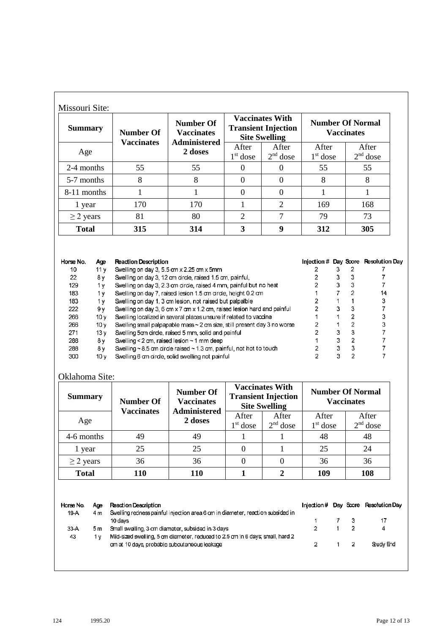| <b>Summary</b> | <b>Number Of</b>  | <b>Number Of</b><br><b>Vaccinates</b> | <b>Vaccinates With</b><br><b>Transient Injection</b><br><b>Site Swelling</b> |                     | <b>Number Of Normal</b><br><b>Vaccinates</b> |                     |
|----------------|-------------------|---------------------------------------|------------------------------------------------------------------------------|---------------------|----------------------------------------------|---------------------|
| Age            | <b>Vaccinates</b> | <b>Administered</b><br>2 doses        | After<br>$1st$ dose                                                          | After<br>$2nd$ dose | After<br>$1st$ dose                          | After<br>$2nd$ dose |
| 2-4 months     | 55                | 55                                    | $\Omega$                                                                     |                     | 55                                           | 55                  |
| 5-7 months     | 8                 | 8                                     | $\theta$                                                                     | $\Omega$            | 8                                            | 8                   |
| 8-11 months    |                   |                                       | $\Omega$                                                                     | $\Omega$            |                                              |                     |
| 1 year         | 170               | 170                                   | -1                                                                           | $\overline{2}$      | 169                                          | 168                 |
| $\geq$ 2 years | 81                | 80                                    | 2                                                                            | $\tau$              | 79                                           | 73                  |
| <b>Total</b>   | 315               | 314                                   | 3                                                                            | 9                   | 312                                          | 305                 |

| Horse No. | Aœ              | <b>Reaction Description</b>                                                   |   | Injection # Day Score Resolution Day |
|-----------|-----------------|-------------------------------------------------------------------------------|---|--------------------------------------|
| 10        | 11 v            | Swelling on day 3, 5.5 cm x 2.25 cm x 5mm                                     |   |                                      |
| 22        | 8ν              | Swelling on day 3, 12 cm circle, raised 1.5 cm, painful,                      |   |                                      |
| 129       | 1٧              | Swelling on day 3, 2.3 cm circle, raised 4 mm, painful but no heat            |   |                                      |
| 183       | 1 v             | Swelling on day 7, raised lesion 1.5 cm circle, height 0.2 cm                 |   | 14                                   |
| 183       | 1 v             | Swelling on day 1, 3 cm lesion, not raised but palpalble                      |   | 3                                    |
| 222       | 9ν              | Swelling on day 3, 6 cm x 7 cm x 1.2 cm, raised lesion hard and painful       |   |                                      |
| 266       | 10 v            | Swelling localized in several places unsure if related to vaccine             |   |                                      |
| 266       | 10v             | Swelling small palpapable mass $\sim$ 2 cm size, still present day 3 no worse |   |                                      |
| 271       | 13 v            | Swelling 5cm circle, raised 5 mm, solid and painful                           |   |                                      |
| 288       | 8γ              | Swelling < $2 \text{ cm}$ , raised lesion $\sim$ 1 mm deep                    | ٩ |                                      |
| 288       | 8ν              | Swelling $\sim$ 8.5 cm circle raised $\sim$ 1.3 cm, painful, not hot to touch |   |                                      |
| 300       | 10 <sub>V</sub> | Swelling 6 cm circle, solid swelling not painful                              |   |                                      |

## Oklahoma Site:

| <b>Summary</b> | <b>Number Of</b><br><b>Vaccinates</b> | <b>Number Of</b><br><b>Vaccinates</b><br><b>Administered</b> |                     | <b>Vaccinates With</b><br><b>Transient Injection</b><br><b>Site Swelling</b> |                     | <b>Number Of Normal</b><br><b>Vaccinates</b> |
|----------------|---------------------------------------|--------------------------------------------------------------|---------------------|------------------------------------------------------------------------------|---------------------|----------------------------------------------|
| Age            |                                       | 2 doses                                                      | After<br>$1st$ dose | After<br>$2nd$ dose                                                          | After<br>$1st$ dose | After<br>$2nd$ dose                          |
| 4-6 months     | 49                                    | 49                                                           |                     |                                                                              | 48                  | 48                                           |
| 1 year         | 25                                    | 25                                                           |                     |                                                                              | 25                  | 24                                           |
| $\geq$ 2 years | 36                                    | 36                                                           |                     | 0                                                                            | 36                  | 36                                           |
| <b>Total</b>   | 110                                   | 110                                                          |                     |                                                                              | 109                 | 108                                          |

Horse No. Age **Reaction Description** Injection # Day Score Resolution Day Swelling redness painful injection area 6 cm in diameter, reaction subsided in 19-A  $4<sub>m</sub>$ 10 days  $\overline{7}$  $\mathbf 3$  $17$  $\ddot{\text{1}}$  $\mathbf 2$ 33-A  $5m$ Small swelling, 3 cm diameter, subsided in 3 days  $\boldsymbol{2}$  $\mathbf{1}$ 4 Mid-sized swelling, 5 cm diameter, reduced to 2.5 cm in 6 days; small, hard 2 43 1 y Study End  $\mathbf 2$  $\mathbf 2$ cm at 10 days, probable subcutaneous leakage  $\mathbf{1}$